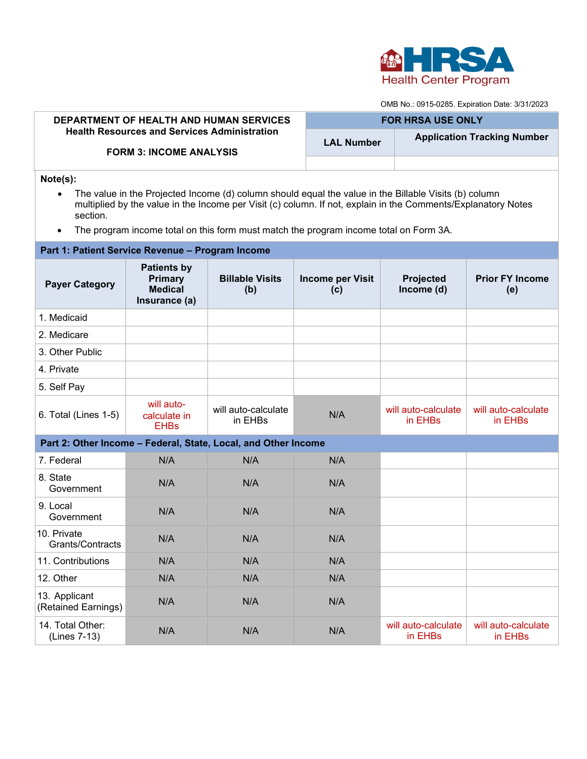

OMB No.: 0915-0285. Expiration Date: 3/31/2023

| <b>DEPARTMENT OF HEALTH AND HUMAN SERVICES</b><br><b>Health Resources and Services Administration</b><br><b>FORM 3: INCOME ANALYSIS</b>                                                                                                                                                                                                                           |                                                                         |                                | <b>FOR HRSA USE ONLY</b>       |                                |                                    |  |  |  |  |
|-------------------------------------------------------------------------------------------------------------------------------------------------------------------------------------------------------------------------------------------------------------------------------------------------------------------------------------------------------------------|-------------------------------------------------------------------------|--------------------------------|--------------------------------|--------------------------------|------------------------------------|--|--|--|--|
|                                                                                                                                                                                                                                                                                                                                                                   |                                                                         |                                | <b>LAL Number</b>              |                                | <b>Application Tracking Number</b> |  |  |  |  |
|                                                                                                                                                                                                                                                                                                                                                                   |                                                                         |                                |                                |                                |                                    |  |  |  |  |
| Note(s):<br>The value in the Projected Income (d) column should equal the value in the Billable Visits (b) column<br>$\bullet$<br>multiplied by the value in the Income per Visit (c) column. If not, explain in the Comments/Explanatory Notes<br>section.<br>The program income total on this form must match the program income total on Form 3A.<br>$\bullet$ |                                                                         |                                |                                |                                |                                    |  |  |  |  |
| Part 1: Patient Service Revenue - Program Income                                                                                                                                                                                                                                                                                                                  |                                                                         |                                |                                |                                |                                    |  |  |  |  |
| <b>Payer Category</b>                                                                                                                                                                                                                                                                                                                                             | <b>Patients by</b><br><b>Primary</b><br><b>Medical</b><br>Insurance (a) | <b>Billable Visits</b><br>(b)  | <b>Income per Visit</b><br>(c) | Projected<br>Income (d)        | <b>Prior FY Income</b><br>(e)      |  |  |  |  |
| 1. Medicaid                                                                                                                                                                                                                                                                                                                                                       |                                                                         |                                |                                |                                |                                    |  |  |  |  |
| 2. Medicare                                                                                                                                                                                                                                                                                                                                                       |                                                                         |                                |                                |                                |                                    |  |  |  |  |
| 3. Other Public                                                                                                                                                                                                                                                                                                                                                   |                                                                         |                                |                                |                                |                                    |  |  |  |  |
| 4. Private                                                                                                                                                                                                                                                                                                                                                        |                                                                         |                                |                                |                                |                                    |  |  |  |  |
| 5. Self Pay                                                                                                                                                                                                                                                                                                                                                       |                                                                         |                                |                                |                                |                                    |  |  |  |  |
| 6. Total (Lines 1-5)                                                                                                                                                                                                                                                                                                                                              | will auto-<br>calculate in<br><b>EHBs</b>                               | will auto-calculate<br>in EHBs | N/A                            | will auto-calculate<br>in EHBs | will auto-calculate<br>in EHBs     |  |  |  |  |
| Part 2: Other Income - Federal, State, Local, and Other Income                                                                                                                                                                                                                                                                                                    |                                                                         |                                |                                |                                |                                    |  |  |  |  |
| 7. Federal                                                                                                                                                                                                                                                                                                                                                        | N/A                                                                     | N/A                            | N/A                            |                                |                                    |  |  |  |  |
| 8. State<br>Government                                                                                                                                                                                                                                                                                                                                            | N/A                                                                     | N/A                            | N/A                            |                                |                                    |  |  |  |  |
| 9. Local<br>Government                                                                                                                                                                                                                                                                                                                                            | N/A                                                                     | N/A                            | N/A                            |                                |                                    |  |  |  |  |
| 10. Private<br>Grants/Contracts                                                                                                                                                                                                                                                                                                                                   | N/A                                                                     | N/A                            | N/A                            |                                |                                    |  |  |  |  |
| 11. Contributions                                                                                                                                                                                                                                                                                                                                                 | N/A                                                                     | N/A                            | N/A                            |                                |                                    |  |  |  |  |
| 12. Other                                                                                                                                                                                                                                                                                                                                                         | N/A                                                                     | N/A                            | N/A                            |                                |                                    |  |  |  |  |
| 13. Applicant<br>(Retained Earnings)                                                                                                                                                                                                                                                                                                                              | N/A                                                                     | N/A                            | N/A                            |                                |                                    |  |  |  |  |
| 14. Total Other:<br>(Lines 7-13)                                                                                                                                                                                                                                                                                                                                  | N/A                                                                     | N/A                            | N/A                            | will auto-calculate<br>in EHBs | will auto-calculate<br>in EHBs     |  |  |  |  |